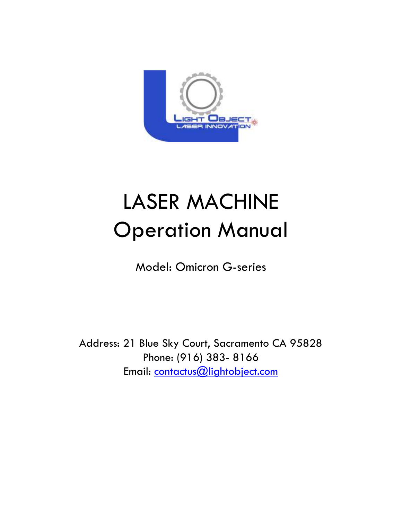

# LASER MACHINE Operation Manual

Model: Omicron G-series

Address: 21 Blue Sky Court, Sacramento CA 95828 Phone: (916) 383- 8166 Email: contactus@lightobject.com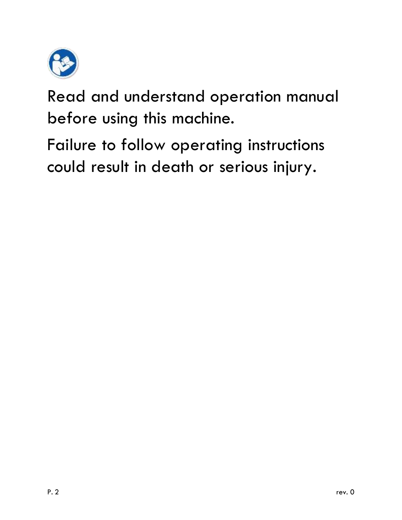

Read and understand operation manual before using this machine.

Failure to follow operating instructions could result in death or serious injury.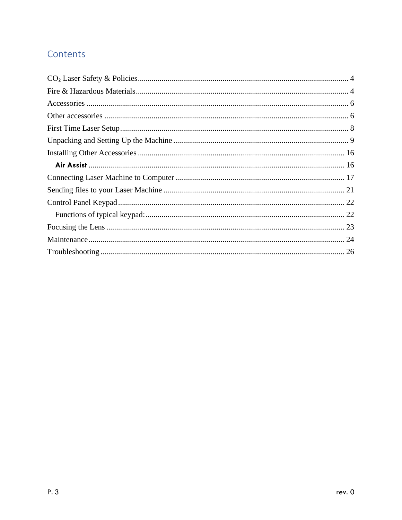### Contents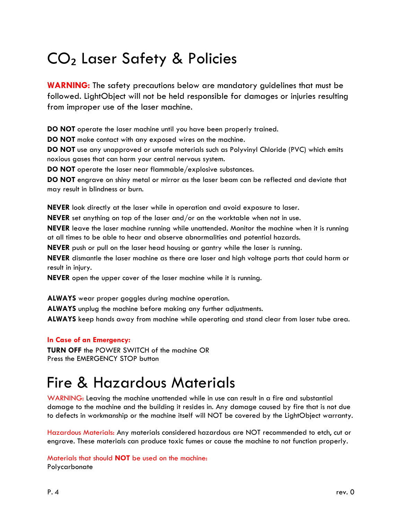# <span id="page-3-0"></span>CO₂ Laser Safety & Policies

**WARNING:** The safety precautions below are mandatory guidelines that must be followed. LightObject will not be held responsible for damages or injuries resulting from improper use of the laser machine.

**DO NOT** operate the laser machine until you have been properly trained.

**DO NOT** make contact with any exposed wires on the machine.

**DO NOT** use any unapproved or unsafe materials such as Polyvinyl Chloride (PVC) which emits noxious gases that can harm your central nervous system.

**DO NOT** operate the laser near flammable/explosive substances.

**DO NOT** engrave on shiny metal or mirror as the laser beam can be reflected and deviate that may result in blindness or burn.

**NEVER** look directly at the laser while in operation and avoid exposure to laser.

**NEVER** set anything on top of the laser and/or on the worktable when not in use.

**NEVER** leave the laser machine running while unattended. Monitor the machine when it is running at all times to be able to hear and observe abnormalities and potential hazards.

**NEVER** push or pull on the laser head housing or gantry while the laser is running.

**NEVER** dismantle the laser machine as there are laser and high voltage parts that could harm or result in injury.

**NEVER** open the upper cover of the laser machine while it is running.

**ALWAYS** wear proper goggles during machine operation.

**ALWAYS** unplug the machine before making any further adjustments.

**ALWAYS** keep hands away from machine while operating and stand clear from laser tube area.

#### **In Case of an Emergency:**

**TURN OFF** the POWER SWITCH of the machine OR Press the EMERGENCY STOP button

### <span id="page-3-1"></span>Fire & Hazardous Materials

WARNING: Leaving the machine unattended while in use can result in a fire and substantial damage to the machine and the building it resides in. Any damage caused by fire that is not due to defects in workmanship or the machine itself will NOT be covered by the LightObject warranty.

Hazardous Materials: Any materials considered hazardous are NOT recommended to etch, cut or engrave. These materials can produce toxic fumes or cause the machine to not function properly.

Materials that should **NOT** be used on the machine: Polycarbonate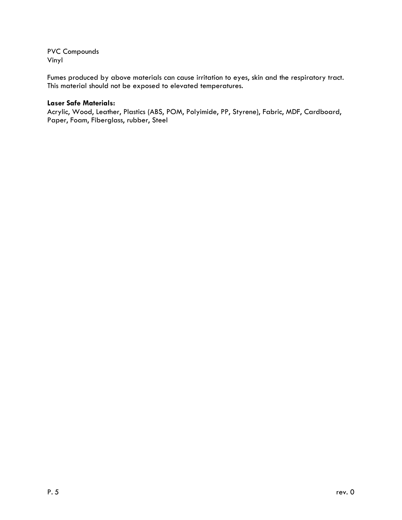PVC Compounds Vinyl

Fumes produced by above materials can cause irritation to eyes, skin and the respiratory tract. This material should not be exposed to elevated temperatures.

#### **Laser Safe Materials:**

Acrylic, Wood, Leather, Plastics (ABS, POM, Polyimide, PP, Styrene), Fabric, MDF, Cardboard, Paper, Foam, Fiberglass, rubber, Steel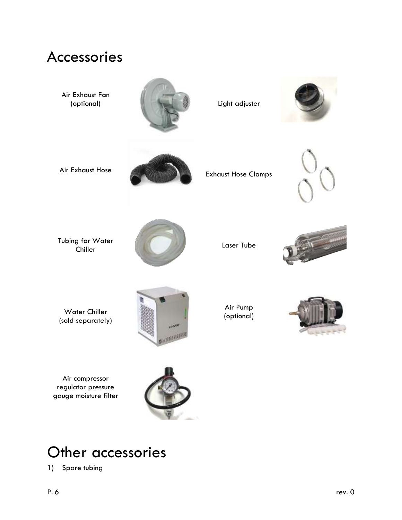<span id="page-5-0"></span>

Air compressor regulator pressure gauge moisture filter



### <span id="page-5-1"></span>Other accessories

1) Spare tubing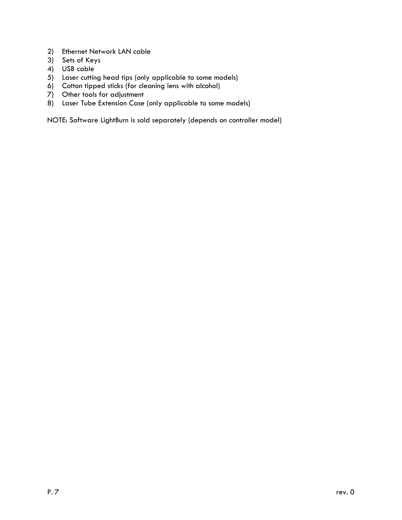- 2) Ethernet Network LAN cable
- 3) Sets of Keys
- 4) USB cable
- 5) Laser cutting head tips (only applicable to some models)
- 6) Cotton tipped sticks (for cleaning lens with alcohol)
- 7) Other tools for adjustment
- 8) Laser Tube Extension Case (only applicable to some models)

NOTE: Software LightBurn is sold separately (depends on controller model)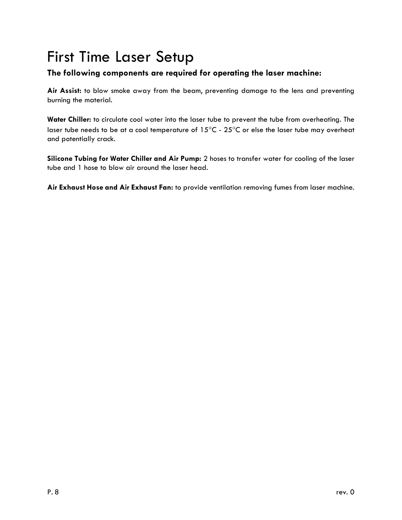# <span id="page-7-0"></span>First Time Laser Setup

### **The following components are required for operating the laser machine:**

**Air Assist:** to blow smoke away from the beam, preventing damage to the lens and preventing burning the material.

**Water Chiller:** to circulate cool water into the laser tube to prevent the tube from overheating. The laser tube needs to be at a cool temperature of  $15^{\circ}$ C -  $25^{\circ}$ C or else the laser tube may overheat and potentially crack.

**Silicone Tubing for Water Chiller and Air Pump:** 2 hoses to transfer water for cooling of the laser tube and 1 hose to blow air around the laser head.

**Air Exhaust Hose and Air Exhaust Fan:** to provide ventilation removing fumes from laser machine.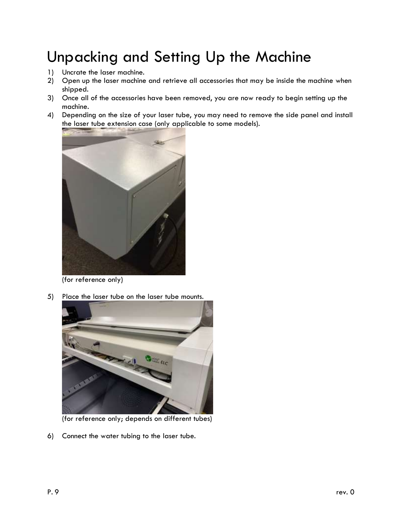# <span id="page-8-0"></span>Unpacking and Setting Up the Machine

- 1) Uncrate the laser machine.
- 2) Open up the laser machine and retrieve all accessories that may be inside the machine when shipped.
- 3) Once all of the accessories have been removed, you are now ready to begin setting up the machine.
- 4) Depending on the size of your laser tube, you may need to remove the side panel and install the laser tube extension case (only applicable to some models).



(for reference only)

5) Place the laser tube on the laser tube mounts.



(for reference only; depends on different tubes)

6) Connect the water tubing to the laser tube.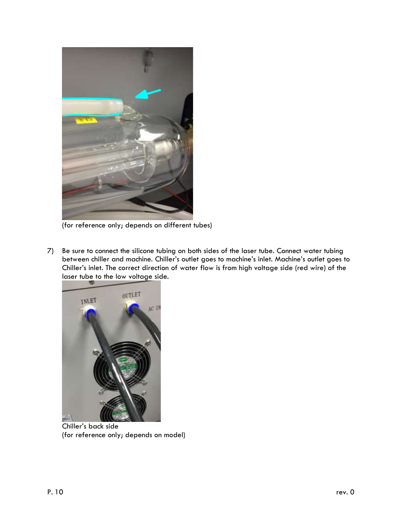

(for reference only; depends on different tubes)

7) Be sure to connect the silicone tubing on both sides of the laser tube. Connect water tubing between chiller and machine. Chiller's outlet goes to machine's inlet. Machine's outlet goes to Chiller's inlet. The correct direction of water flow is from high voltage side (red wire) of the laser tube to the low voltage side.



Chiller's back side (for reference only; depends on model)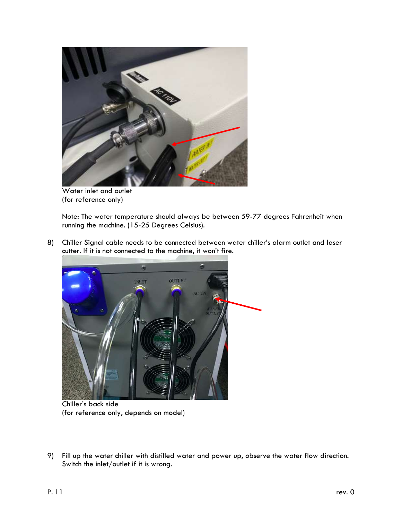

Water inlet and outlet (for reference only)

Note: The water temperature should always be between 59-77 degrees Fahrenheit when running the machine. (15-25 Degrees Celsius).

8) Chiller Signal cable needs to be connected between water chiller's alarm outlet and laser cutter. If it is not connected to the machine, it won't fire.



Chiller's back side (for reference only, depends on model)

9) Fill up the water chiller with distilled water and power up, observe the water flow direction. Switch the inlet/outlet if it is wrong.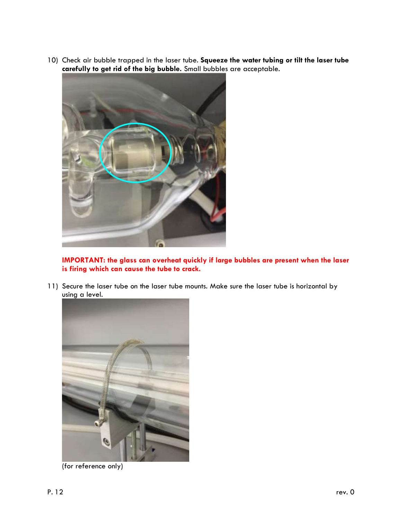10) Check air bubble trapped in the laser tube. **Squeeze the water tubing or tilt the laser tube carefully to get rid of the big bubble.** Small bubbles are acceptable.



**IMPORTANT: the glass can overheat quickly if large bubbles are present when the laser is firing which can cause the tube to crack.**

11) Secure the laser tube on the laser tube mounts. Make sure the laser tube is horizontal by using a level.



(for reference only)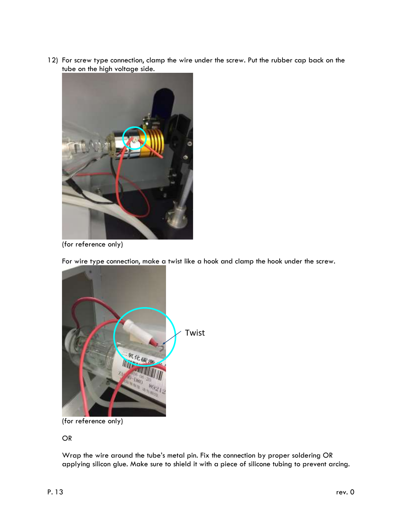12) For screw type connection, clamp the wire under the screw. Put the rubber cap back on the tube on the high voltage side.



(for reference only)

For wire type connection, make a twist like a hook and clamp the hook under the screw.



(for reference only)

OR

Wrap the wire around the tube's metal pin. Fix the connection by proper soldering OR applying silicon glue. Make sure to shield it with a piece of silicone tubing to prevent arcing.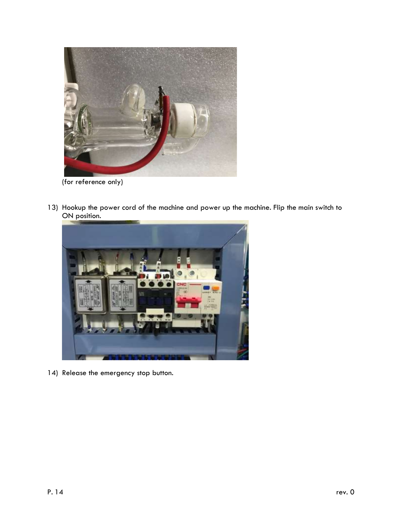

(for reference only)

13) Hookup the power cord of the machine and power up the machine. Flip the main switch to ON position.



14) Release the emergency stop button.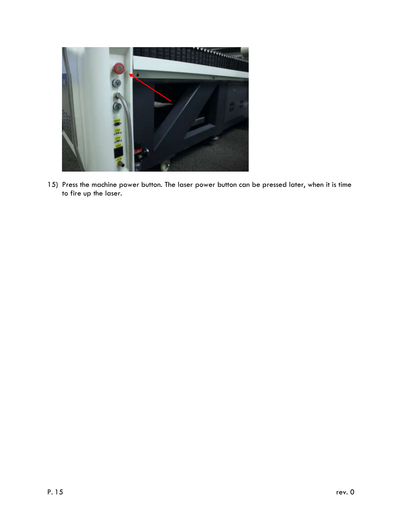

15) Press the machine power button. The laser power button can be pressed later, when it is time to fire up the laser.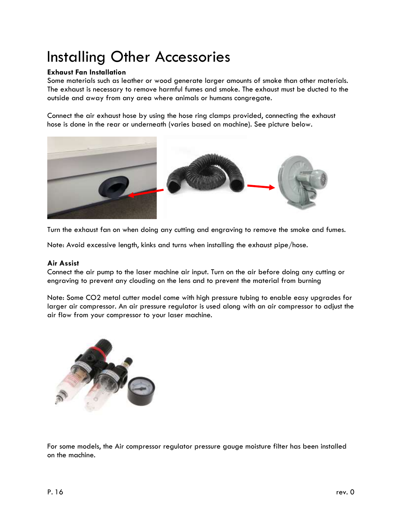# <span id="page-15-0"></span>Installing Other Accessories

#### **Exhaust Fan Installation**

Some materials such as leather or wood generate larger amounts of smoke than other materials. The exhaust is necessary to remove harmful fumes and smoke. The exhaust must be ducted to the outside and away from any area where animals or humans congregate.

Connect the air exhaust hose by using the hose ring clamps provided, connecting the exhaust hose is done in the rear or underneath (varies based on machine). See picture below.



Turn the exhaust fan on when doing any cutting and engraving to remove the smoke and fumes.

<span id="page-15-1"></span>Note: Avoid excessive length, kinks and turns when installing the exhaust pipe/hose.

#### **Air Assist**

Connect the air pump to the laser machine air input. Turn on the air before doing any cutting or engraving to prevent any clouding on the lens and to prevent the material from burning

Note: Some CO2 metal cutter model come with high pressure tubing to enable easy upgrades for larger air compressor. An air pressure regulator is used along with an air compressor to adjust the air flow from your compressor to your laser machine.



For some models, the Air compressor regulator pressure gauge moisture filter has been installed on the machine.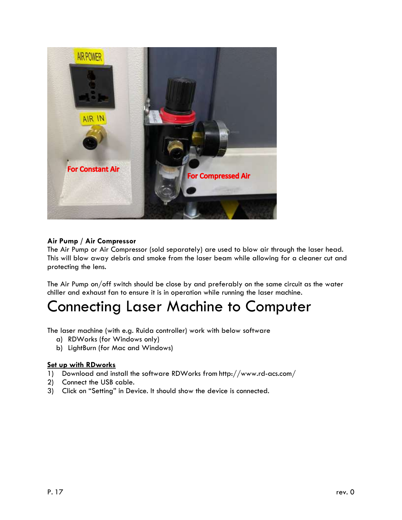

#### **Air Pump / Air Compressor**

The Air Pump or Air Compressor (sold separately) are used to blow air through the laser head. This will blow away debris and smoke from the laser beam while allowing for a cleaner cut and protecting the lens.

The Air Pump on/off switch should be close by and preferably on the same circuit as the water chiller and exhaust fan to ensure it is in operation while running the laser machine.

### <span id="page-16-0"></span>Connecting Laser Machine to Computer

The laser machine (with e.g. Ruida controller) work with below software

- a) RDWorks (for Windows only)
- b) LightBurn (for Mac and Windows)

#### **Set up with RDworks**

- 1) Download and install the software RDWorks from http://www.rd-acs.com/
- 2) Connect the USB cable.
- 3) Click on "Setting" in Device. It should show the device is connected.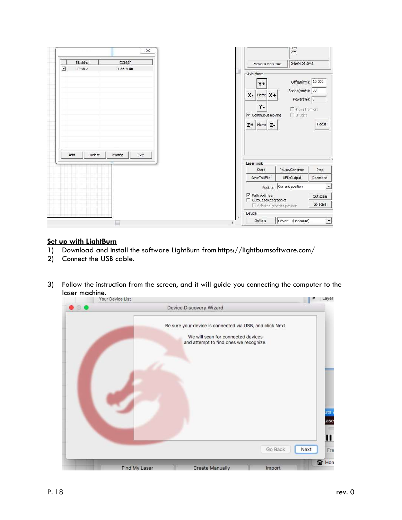

#### **Set up with LightBurn**

- 1) Download and install the software LightBurn from https://lightburnsoftware.com/
- 2) Connect the USB cable.
- 3) Follow the instruction from the screen, and it will guide you connecting the computer to the laser machine.<br>Your Device List

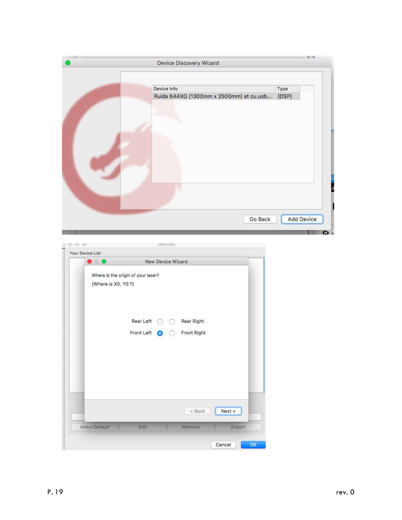|                                                           | Device Discovery Wizard                 |        |         |                   |
|-----------------------------------------------------------|-----------------------------------------|--------|---------|-------------------|
|                                                           | Device info                             |        | Type    |                   |
|                                                           | Ruida 644XG (1300mm x 2500mm) at cu.usb |        | (DSP)   |                   |
|                                                           |                                         |        |         |                   |
|                                                           |                                         |        |         |                   |
|                                                           |                                         |        |         |                   |
|                                                           |                                         |        | Go Back | <b>Add Device</b> |
|                                                           | Devices                                 |        |         |                   |
| Your Device List<br>$\bullet$ 00                          | New Device Wizard                       |        |         |                   |
| Where is the origin of your laser?<br>(Where is X0, Y0 ?) |                                         |        |         |                   |
| Rear Left                                                 | Rear Right                              |        |         |                   |
| Front Left                                                | Front Right                             |        |         |                   |
|                                                           |                                         |        |         |                   |
|                                                           |                                         |        |         |                   |
|                                                           | $<$ Back                                | Next > |         |                   |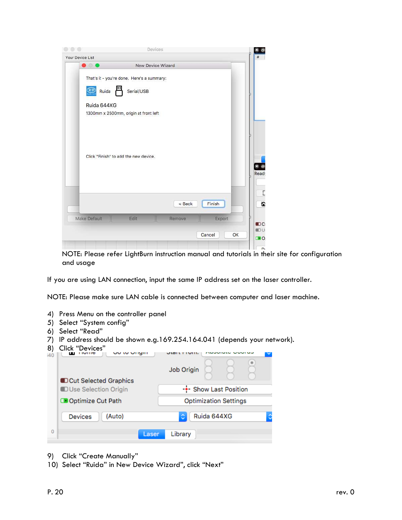| $\bullet$ $\bullet$ |                                            | New Device Wizard |              |  |
|---------------------|--------------------------------------------|-------------------|--------------|--|
|                     |                                            |                   |              |  |
|                     | That's it - you're done. Here's a summary: |                   |              |  |
| Ruida               | Serial/USB                                 |                   |              |  |
| Ruida 644XG         |                                            |                   |              |  |
|                     | 1300mm x 2500mm, origin at front left      |                   |              |  |
|                     |                                            |                   |              |  |
|                     |                                            |                   |              |  |
|                     |                                            |                   |              |  |
|                     |                                            |                   |              |  |
|                     | Click "Finish" to add the new device.      |                   |              |  |
|                     |                                            |                   |              |  |
|                     |                                            |                   |              |  |
|                     |                                            |                   |              |  |
|                     |                                            |                   |              |  |
|                     |                                            | < Back            | Finish       |  |
| Make Default        | Edit                                       | Remove            |              |  |
|                     |                                            |                   | Export       |  |
|                     |                                            |                   | Cancel<br>OK |  |

NOTE: Please refer LightBurn instruction manual and tutorials in their site for configuration and usage

If you are using LAN connection, input the same IP address set on the laser controller.

NOTE: Please make sure LAN cable is connected between computer and laser machine.

- 4) Press Menu on the controller panel
- 5) Select "System config"
- 6) Select "Read"
- 7) IP address should be shown e.g.169.254.164.041 (depends your network).
- 8) Click "Devices"

| ୪)  | Click "Devices"                     |                              |             |  |  |  |
|-----|-------------------------------------|------------------------------|-------------|--|--|--|
| i40 | יוועו וע עווע<br><b>TIOTHC</b><br>ш |                              |             |  |  |  |
|     |                                     | Job Origin                   |             |  |  |  |
|     | <b>DCut Selected Graphics</b>       |                              |             |  |  |  |
|     | <b>DUse Selection Origin</b>        | -+- Show Last Position       |             |  |  |  |
|     | Optimize Cut Path                   | <b>Optimization Settings</b> |             |  |  |  |
|     | (Auto)<br><b>Devices</b>            | ¢                            | Ruida 644XG |  |  |  |
| Ó   | Laser                               | Library                      |             |  |  |  |

- 9) Click "Create Manually"
- 10) Select "Ruida" in New Device Wizard", click "Next"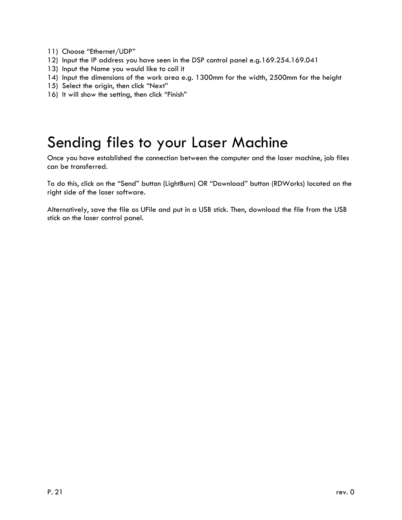- 11) Choose "Ethernet/UDP"
- 12) Input the IP address you have seen in the DSP control panel e.g.169.254.169.041
- 13) Input the Name you would like to call it
- 14) Input the dimensions of the work area e.g. 1300mm for the width, 2500mm for the height
- 15) Select the origin, then click "Next"
- 16) It will show the setting, then click "Finish"

### <span id="page-20-0"></span>Sending files to your Laser Machine

Once you have established the connection between the computer and the laser machine, job files can be transferred.

To do this, click on the "Send" button (LightBurn) OR "Download" button (RDWorks) located on the right side of the laser software.

Alternatively, save the file as UFile and put in a USB stick. Then, download the file from the USB stick on the laser control panel.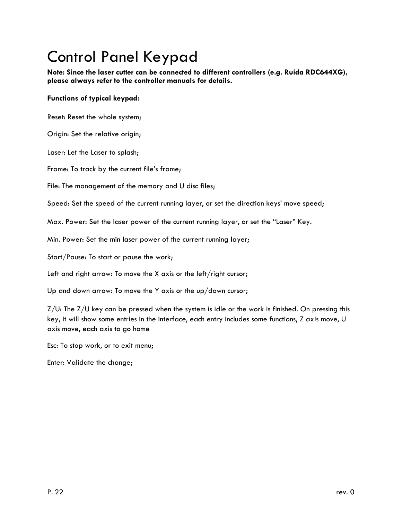# <span id="page-21-0"></span>Control Panel Keypad

**Note: Since the laser cutter can be connected to different controllers (e.g. Ruida RDC644XG), please always refer to the controller manuals for details.**

#### <span id="page-21-1"></span>**Functions of typical keypad:**

Reset: Reset the whole system;

Origin: Set the relative origin;

Laser: Let the Laser to splash;

Frame: To track by the current file's frame;

File: The management of the memory and U disc files;

Speed: Set the speed of the current running layer, or set the direction keys' move speed;

Max. Power: Set the laser power of the current running layer, or set the "Laser" Key.

Min. Power: Set the min laser power of the current running layer;

Start/Pause: To start or pause the work;

Left and right arrow: To move the X axis or the left/right cursor;

Up and down arrow: To move the Y axis or the up/down cursor;

 $Z/U$ : The  $Z/U$  key can be pressed when the system is idle or the work is finished. On pressing this key, it will show some entries in the interface, each entry includes some functions, Z axis move, U axis move, each axis to go home

Esc: To stop work, or to exit menu;

Enter: Validate the change;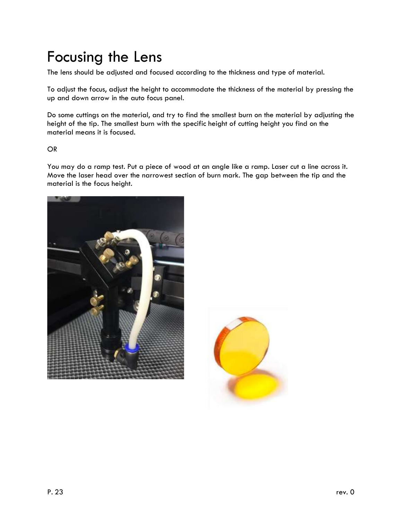# <span id="page-22-0"></span>Focusing the Lens

The lens should be adjusted and focused according to the thickness and type of material.

To adjust the focus, adjust the height to accommodate the thickness of the material by pressing the up and down arrow in the auto focus panel.

Do some cuttings on the material, and try to find the smallest burn on the material by adjusting the height of the tip. The smallest burn with the specific height of cutting height you find on the material means it is focused.

#### OR

You may do a ramp test. Put a piece of wood at an angle like a ramp. Laser cut a line across it. Move the laser head over the narrowest section of burn mark. The gap between the tip and the material is the focus height.



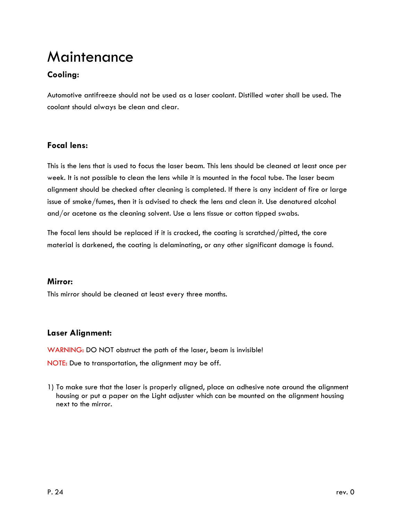### <span id="page-23-0"></span>Maintenance

### **Cooling:**

Automotive antifreeze should not be used as a laser coolant. Distilled water shall be used. The coolant should always be clean and clear.

### **Focal lens:**

This is the lens that is used to focus the laser beam. This lens should be cleaned at least once per week. It is not possible to clean the lens while it is mounted in the focal tube. The laser beam alignment should be checked after cleaning is completed. If there is any incident of fire or large issue of smoke/fumes, then it is advised to check the lens and clean it. Use denatured alcohol and/or acetone as the cleaning solvent. Use a lens tissue or cotton tipped swabs.

The focal lens should be replaced if it is cracked, the coating is scratched/pitted, the core material is darkened, the coating is delaminating, or any other significant damage is found.

#### **Mirror:**

This mirror should be cleaned at least every three months.

### **Laser Alignment:**

WARNING: DO NOT obstruct the path of the laser, beam is invisible! NOTE: Due to transportation, the alignment may be off.

1) To make sure that the laser is properly aligned, place an adhesive note around the alignment housing or put a paper on the Light adjuster which can be mounted on the alignment housing next to the mirror.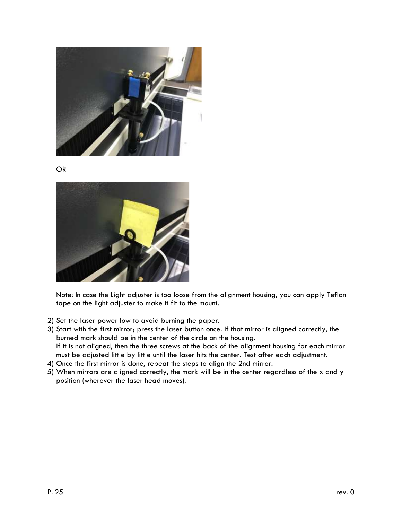

OR



Note: In case the Light adjuster is too loose from the alignment housing, you can apply Teflon tape on the light adjuster to make it fit to the mount.

- 2) Set the laser power low to avoid burning the paper.
- 3) Start with the first mirror; press the laser button once. If that mirror is aligned correctly, the burned mark should be in the center of the circle on the housing. If it is not aligned, then the three screws at the back of the alignment housing for each mirror must be adjusted little by little until the laser hits the center. Test after each adjustment.
- 4) Once the first mirror is done, repeat the steps to align the 2nd mirror.
- 5) When mirrors are aligned correctly, the mark will be in the center regardless of the x and y position (wherever the laser head moves).